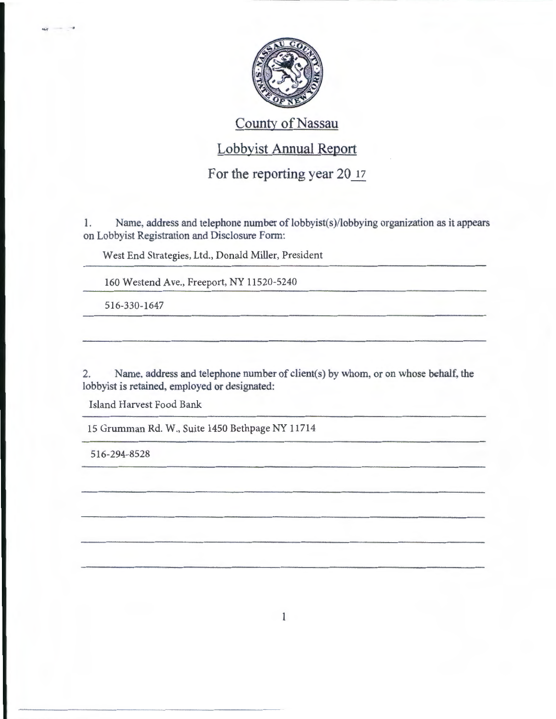

## County of Nassau

## Lobbyist Annual Report

For the reporting year 20 17

1. Name, address and telephone number of lobbyist(s)/lobbying organization as it appears on Lobbyist Registration and Disclosure Form:

West End Strategies, Ltd., Donald Miller, President

160 Westend Ave., Freeport, NY 11520-5240

516-330-1647

2. Name, address and telephone number of client(s) by whom, or on whose behalf, the lobbyist is retained, employed or designated:

Island Harvest Food Bank

15 Grumman Rd. W., Suite 1450 Bethpage NY 11714

516-294-8528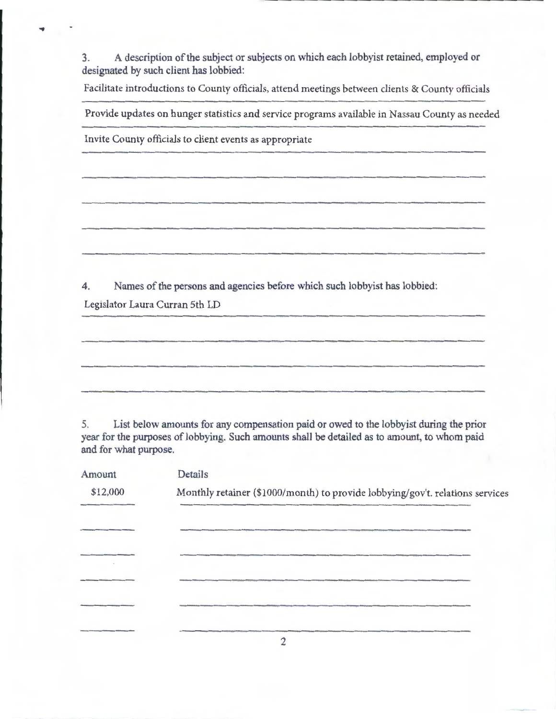3. A description of the subject or subjects on which each lobbyist retained, employed or designated by such client has lobbied:

Facilitate introductions to County officials, attend meetings between clients & County officials

Provide updates on hunger statistics and service programs available in Nassau County as needed

Invite County officials to client events as appropriate

4. Names of the persons and agencies before which such lobbyist has lobbied:

Legislator Laura Curran 5th LD

÷

5. List below amounts for any compensation paid or owed to the lobbyist during the prior year for the purposes of lobbying. Such amounts shall be detailed as to amount, to whom paid and for what purpose.

| Amount   | Details                                                                       |
|----------|-------------------------------------------------------------------------------|
| \$12,000 | Monthly retainer (\$1000/month) to provide lobbying/gov't. relations services |
|          |                                                                               |
|          |                                                                               |
|          |                                                                               |
|          |                                                                               |
|          |                                                                               |
|          |                                                                               |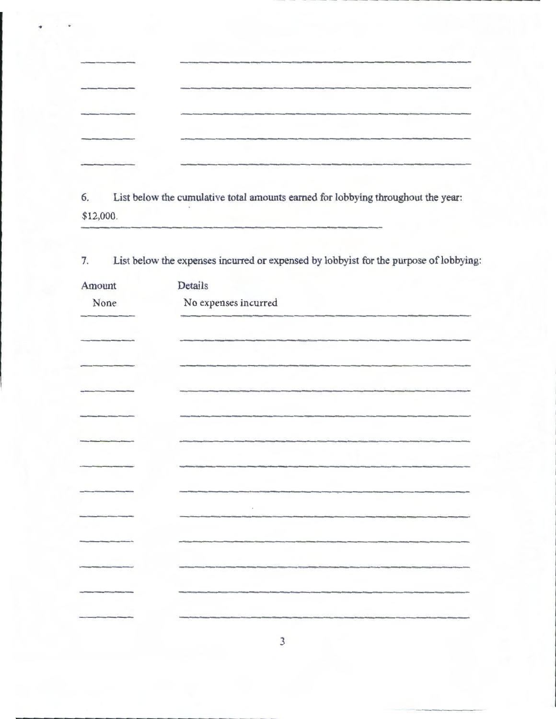|                                                 |  | and produce the contract of the contract of the contract of the contract of the contract of the contract of the contract of the contract of the contract of the contract of the contract of the contract of the contract of th       |  |
|-------------------------------------------------|--|--------------------------------------------------------------------------------------------------------------------------------------------------------------------------------------------------------------------------------------|--|
|                                                 |  | <b>The Constitution of the Constitution of the Constitution of the Constitution of the Constitution of the Constitution of the Constitution of the Constitution of the Constitution of the Constitution of the Constitution of t</b> |  |
|                                                 |  |                                                                                                                                                                                                                                      |  |
| <b><i><u>SATEMANA ARTISAS (AL 1994)</u></i></b> |  | Christmas and Carolina and Carolina and Carolina and Carolina and Caroly and Carolyna and Carolyna and Carolyna and Carolyna and Carolyna and Carolyna and Carolyna and Carolyna and Carolyna and Carolyna and Carolyna and Ca       |  |
|                                                 |  |                                                                                                                                                                                                                                      |  |
|                                                 |  |                                                                                                                                                                                                                                      |  |
|                                                 |  |                                                                                                                                                                                                                                      |  |

\_\_\_\_\_\_\_\_\_\_\_\_ .......

6. List below the cumulative total amounts earned for lobbying throughout the year: \$12,000.

7. List below the expenses incurred or expensed by lobbyist for the purpose of lobbying:

| Amount | Details                    |
|--------|----------------------------|
| None   | $\rm No$ expenses incurred |
|        |                            |
|        |                            |
|        |                            |
|        |                            |
|        |                            |
|        |                            |
|        |                            |
|        |                            |
|        |                            |
|        |                            |
|        |                            |
|        |                            |
|        |                            |
|        |                            |
|        |                            |
|        |                            |
|        |                            |

 $-1.1$ 

........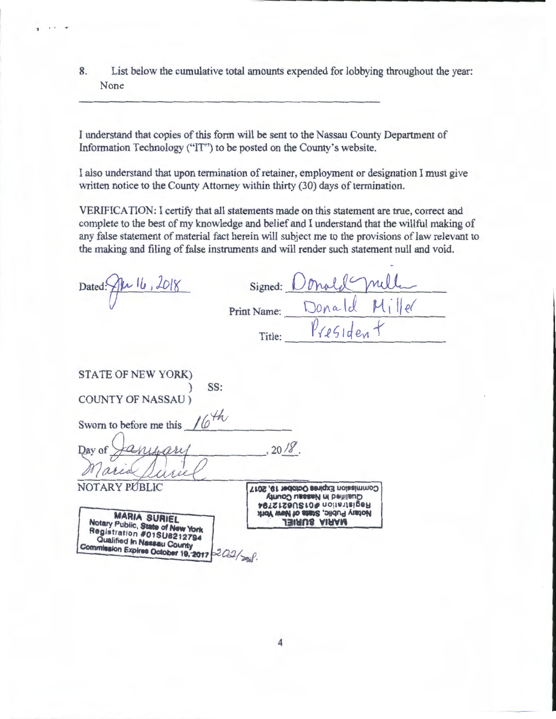List below the cumulative total amounts expended for lobbying throughout the year: 8. None

I understand that copies of this form will be sent to the Nassau County Department of Information Technology ("IT") to be posted on the County's website.

I also understand that upon termination of retainer, employment or designation I must give written notice to the County Attorney within thirty (30) days of termination.

VERIFICATION: I certify that all statements made on this statement are true, correct and complete to the best of my knowledge and belief and I understand that the willful making of any false statement of material fact herein will subject me to the provisions of law relevant to the making and filing of false instruments and will render such statement null and void.

| Dated: Al 16, 2018                                                                                                                                              | Signed:                                                                                                                            |
|-----------------------------------------------------------------------------------------------------------------------------------------------------------------|------------------------------------------------------------------------------------------------------------------------------------|
|                                                                                                                                                                 | Donald<br>Print Name:                                                                                                              |
|                                                                                                                                                                 | President<br>Title:                                                                                                                |
| STATE OF NEW YORK)                                                                                                                                              |                                                                                                                                    |
| SS:<br><b>COUNTY OF NASSAU</b> )                                                                                                                                |                                                                                                                                    |
| Sworn to before me this $16^{4h}$                                                                                                                               |                                                                                                                                    |
| Day of                                                                                                                                                          | 20/8                                                                                                                               |
| NOTARY PÚBLIC<br><b>MARIA SURIEL</b>                                                                                                                            | Commission Expires October 19, 2017<br>Qualified in Nassau County<br>Registration #01SU6212794<br>Notary Public, State of New York |
| Notary Public, State of New York<br>Registration #01SU6212794<br>Qualified In Nassau County<br>Commission Expires October 19, 2017 $\approx 2.22 / \frac{1}{2}$ | JEIRUS AIRAM                                                                                                                       |

 $\overline{\mathbf{1}}$